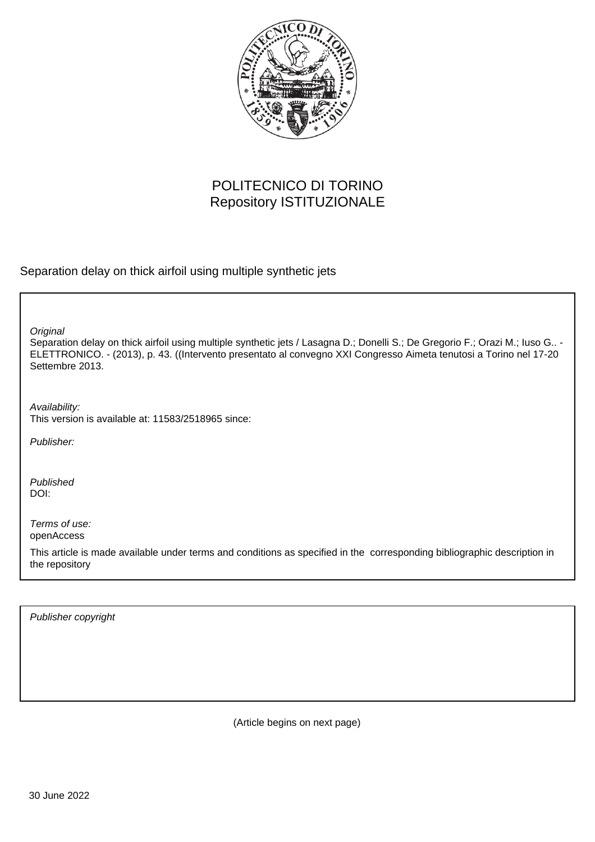

# POLITECNICO DI TORINO Repository ISTITUZIONALE

Separation delay on thick airfoil using multiple synthetic jets

**Original** 

Separation delay on thick airfoil using multiple synthetic jets / Lasagna D.; Donelli S.; De Gregorio F.; Orazi M.; Iuso G.. - ELETTRONICO. - (2013), p. 43. ((Intervento presentato al convegno XXI Congresso Aimeta tenutosi a Torino nel 17-20 Settembre 2013.

Availability: This version is available at: 11583/2518965 since:

Publisher:

Published DOI:

Terms of use: openAccess

This article is made available under terms and conditions as specified in the corresponding bibliographic description in the repository

Publisher copyright

(Article begins on next page)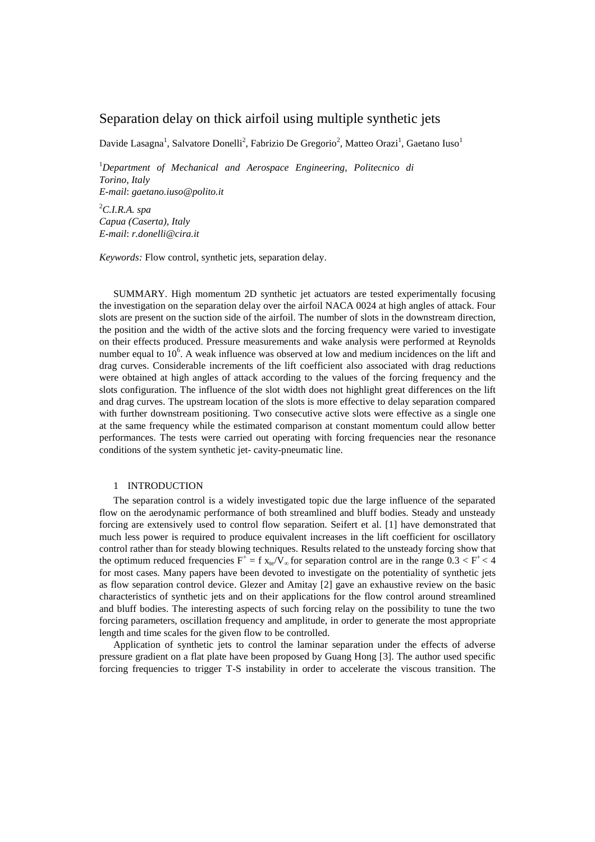## Separation delay on thick airfoil using multiple synthetic jets

Davide Lasagna<sup>1</sup>, Salvatore Donelli<sup>2</sup>, Fabrizio De Gregorio<sup>2</sup>, Matteo Orazi<sup>1</sup>, Gaetano Iuso<sup>1</sup>

<sup>1</sup>*Department of Mechanical and Aerospace Engineering, Politecnico di Torino, Italy E-mail*: *gaetano.iuso@polito.it*

<sup>2</sup>*C.I.R.A. spa Capua (Caserta), Italy E-mail*: *r.donelli@cira.it*

*Keywords:* Flow control, synthetic jets, separation delay.

SUMMARY. High momentum 2D synthetic jet actuators are tested experimentally focusing the investigation on the separation delay over the airfoil NACA 0024 at high angles of attack. Four slots are present on the suction side of the airfoil. The number of slots in the downstream direction, the position and the width of the active slots and the forcing frequency were varied to investigate on their effects produced. Pressure measurements and wake analysis were performed at Reynolds number equal to  $10<sup>6</sup>$ . A weak influence was observed at low and medium incidences on the lift and drag curves. Considerable increments of the lift coefficient also associated with drag reductions were obtained at high angles of attack according to the values of the forcing frequency and the slots configuration. The influence of the slot width does not highlight great differences on the lift and drag curves. The upstream location of the slots is more effective to delay separation compared with further downstream positioning. Two consecutive active slots were effective as a single one at the same frequency while the estimated comparison at constant momentum could allow better performances. The tests were carried out operating with forcing frequencies near the resonance conditions of the system synthetic jet- cavity-pneumatic line.

## 1 INTRODUCTION

The separation control is a widely investigated topic due the large influence of the separated flow on the aerodynamic performance of both streamlined and bluff bodies. Steady and unsteady forcing are extensively used to control flow separation. Seifert et al. [1] have demonstrated that much less power is required to produce equivalent increases in the lift coefficient for oscillatory control rather than for steady blowing techniques. Results related to the unsteady forcing show that the optimum reduced frequencies  $F^+ = f x_{te}/V_{\infty}$  for separation control are in the range  $0.3 < F^+ < 4$ for most cases. Many papers have been devoted to investigate on the potentiality of synthetic jets as flow separation control device. Glezer and Amitay [2] gave an exhaustive review on the basic characteristics of synthetic jets and on their applications for the flow control around streamlined and bluff bodies. The interesting aspects of such forcing relay on the possibility to tune the two forcing parameters, oscillation frequency and amplitude, in order to generate the most appropriate length and time scales for the given flow to be controlled.

Application of synthetic jets to control the laminar separation under the effects of adverse pressure gradient on a flat plate have been proposed by Guang Hong [3]. The author used specific forcing frequencies to trigger T-S instability in order to accelerate the viscous transition. The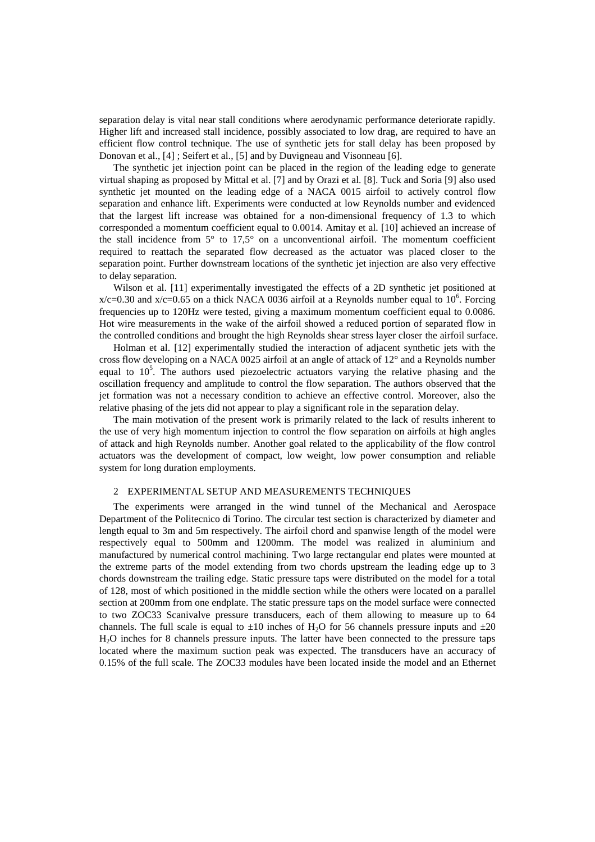separation delay is vital near stall conditions where aerodynamic performance deteriorate rapidly. Higher lift and increased stall incidence, possibly associated to low drag, are required to have an efficient flow control technique. The use of synthetic jets for stall delay has been proposed by Donovan et al., [4] ; Seifert et al., [5] and by Duvigneau and Visonneau [6].

The synthetic jet injection point can be placed in the region of the leading edge to generate virtual shaping as proposed by Mittal et al. [7] and by Orazi et al. [8]. Tuck and Soria [9] also used synthetic jet mounted on the leading edge of a NACA 0015 airfoil to actively control flow separation and enhance lift. Experiments were conducted at low Reynolds number and evidenced that the largest lift increase was obtained for a non-dimensional frequency of 1.3 to which corresponded a momentum coefficient equal to 0.0014. Amitay et al. [10] achieved an increase of the stall incidence from  $5^{\circ}$  to  $17.5^{\circ}$  on a unconventional airfoil. The momentum coefficient required to reattach the separated flow decreased as the actuator was placed closer to the separation point. Further downstream locations of the synthetic jet injection are also very effective to delay separation.

Wilson et al. [11] experimentally investigated the effects of a 2D synthetic jet positioned at  $x/c=0.30$  and  $x/c=0.65$  on a thick NACA 0036 airfoil at a Reynolds number equal to 10<sup>6</sup>. Forcing frequencies up to 120Hz were tested, giving a maximum momentum coefficient equal to 0.0086. Hot wire measurements in the wake of the airfoil showed a reduced portion of separated flow in the controlled conditions and brought the high Reynolds shear stress layer closer the airfoil surface.

Holman et al. [12] experimentally studied the interaction of adjacent synthetic jets with the cross flow developing on a NACA 0025 airfoil at an angle of attack of 12° and a Reynolds number equal to  $10<sup>5</sup>$ . The authors used piezoelectric actuators varying the relative phasing and the oscillation frequency and amplitude to control the flow separation. The authors observed that the jet formation was not a necessary condition to achieve an effective control. Moreover, also the relative phasing of the jets did not appear to play a significant role in the separation delay.

The main motivation of the present work is primarily related to the lack of results inherent to the use of very high momentum injection to control the flow separation on airfoils at high angles of attack and high Reynolds number. Another goal related to the applicability of the flow control actuators was the development of compact, low weight, low power consumption and reliable system for long duration employments.

#### 2 EXPERIMENTAL SETUP AND MEASUREMENTS TECHNIQUES

The experiments were arranged in the wind tunnel of the Mechanical and Aerospace Department of the Politecnico di Torino. The circular test section is characterized by diameter and length equal to 3m and 5m respectively. The airfoil chord and spanwise length of the model were respectively equal to 500mm and 1200mm. The model was realized in aluminium and manufactured by numerical control machining. Two large rectangular end plates were mounted at the extreme parts of the model extending from two chords upstream the leading edge up to 3 chords downstream the trailing edge. Static pressure taps were distributed on the model for a total of 128, most of which positioned in the middle section while the others were located on a parallel section at 200mm from one endplate. The static pressure taps on the model surface were connected to two ZOC33 Scanivalve pressure transducers, each of them allowing to measure up to 64 channels. The full scale is equal to  $\pm 10$  inches of H<sub>2</sub>O for 56 channels pressure inputs and  $\pm 20$ H2O inches for 8 channels pressure inputs. The latter have been connected to the pressure taps located where the maximum suction peak was expected. The transducers have an accuracy of 0.15% of the full scale. The ZOC33 modules have been located inside the model and an Ethernet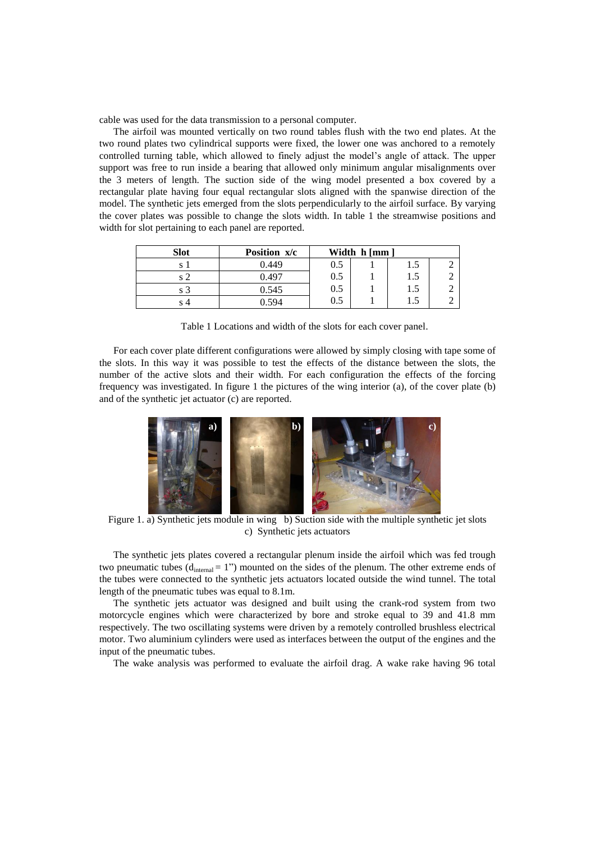cable was used for the data transmission to a personal computer.

The airfoil was mounted vertically on two round tables flush with the two end plates. At the two round plates two cylindrical supports were fixed, the lower one was anchored to a remotely controlled turning table, which allowed to finely adjust the model's angle of attack. The upper support was free to run inside a bearing that allowed only minimum angular misalignments over the 3 meters of length. The suction side of the wing model presented a box covered by a rectangular plate having four equal rectangular slots aligned with the spanwise direction of the model. The synthetic jets emerged from the slots perpendicularly to the airfoil surface. By varying the cover plates was possible to change the slots width. In table 1 the streamwise positions and width for slot pertaining to each panel are reported.

| <b>Slot</b> | Position x/c |     | Width h [mm ] |     |  |
|-------------|--------------|-----|---------------|-----|--|
| O           | 0.449        | 0.5 |               | L.5 |  |
|             | 0.497        | 0.5 |               | 1.5 |  |
| S.          | 0.545        | 0.5 |               | 1.5 |  |
|             | 0.594        | 0.5 |               | L.5 |  |

Table 1 Locations and width of the slots for each cover panel.

For each cover plate different configurations were allowed by simply closing with tape some of the slots. In this way it was possible to test the effects of the distance between the slots, the number of the active slots and their width. For each configuration the effects of the forcing frequency was investigated. In figure 1 the pictures of the wing interior (a), of the cover plate (b) and of the synthetic jet actuator (c) are reported.



Figure 1. a) Synthetic jets module in wing b) Suction side with the multiple synthetic jet slots c) Synthetic jets actuators

The synthetic jets plates covered a rectangular plenum inside the airfoil which was fed trough two pneumatic tubes  $(d_{internal} = 1")$  mounted on the sides of the plenum. The other extreme ends of the tubes were connected to the synthetic jets actuators located outside the wind tunnel. The total length of the pneumatic tubes was equal to 8.1m.

The synthetic jets actuator was designed and built using the crank-rod system from two motorcycle engines which were characterized by bore and stroke equal to 39 and 41.8 mm respectively. The two oscillating systems were driven by a remotely controlled brushless electrical motor. Two aluminium cylinders were used as interfaces between the output of the engines and the input of the pneumatic tubes.

The wake analysis was performed to evaluate the airfoil drag. A wake rake having 96 total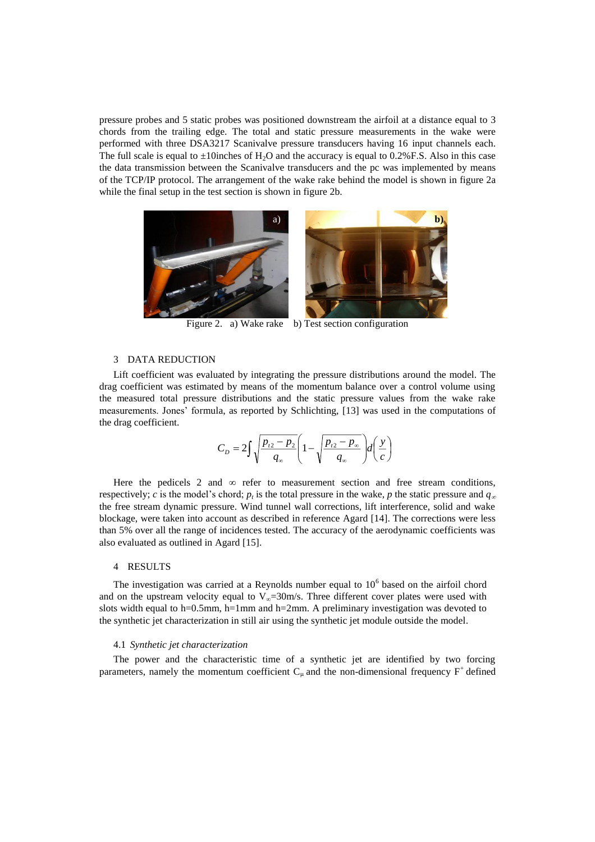pressure probes and 5 static probes was positioned downstream the airfoil at a distance equal to 3 chords from the trailing edge. The total and static pressure measurements in the wake were performed with three DSA3217 Scanivalve pressure transducers having 16 input channels each. The full scale is equal to  $\pm 10$  inches of H<sub>2</sub>O and the accuracy is equal to 0.2% F.S. Also in this case the data transmission between the Scanivalve transducers and the pc was implemented by means of the TCP/IP protocol. The arrangement of the wake rake behind the model is shown in figure 2a while the final setup in the test section is shown in figure 2b.



Figure 2. a) Wake rake b) Test section configuration

## 3 DATA REDUCTION

Lift coefficient was evaluated by integrating the pressure distributions around the model. The drag coefficient was estimated by means of the momentum balance over a control volume using the measured total pressure distributions and the static pressure values from the wake rake measurements. Jones' formula, as reported by Schlichting, [13] was used in the computations of the drag coefficient.

$$
C_D = 2 \int \sqrt{\frac{p_{i2} - p_2}{q_\infty}} \left( 1 - \sqrt{\frac{p_{i2} - p_\infty}{q_\infty}} \right) d\left(\frac{y}{c}\right)
$$

Here the pedicels 2 and  $\infty$  refer to measurement section and free stream conditions, respectively; *c* is the model's chord;  $p_t$  is the total pressure in the wake, *p* the static pressure and  $q_\infty$ the free stream dynamic pressure. Wind tunnel wall corrections, lift interference, solid and wake blockage, were taken into account as described in reference Agard [14]. The corrections were less than 5% over all the range of incidences tested. The accuracy of the aerodynamic coefficients was also evaluated as outlined in Agard [15].

#### 4 RESULTS

The investigation was carried at a Reynolds number equal to  $10<sup>6</sup>$  based on the airfoil chord and on the upstream velocity equal to  $V_{\infty}=30$  m/s. Three different cover plates were used with slots width equal to h=0.5mm, h=1mm and h=2mm. A preliminary investigation was devoted to the synthetic jet characterization in still air using the synthetic jet module outside the model.

#### 4.1 *Synthetic jet characterization*

The power and the characteristic time of a synthetic jet are identified by two forcing parameters, namely the momentum coefficient  $C_{\mu}$  and the non-dimensional frequency  $F^+$  defined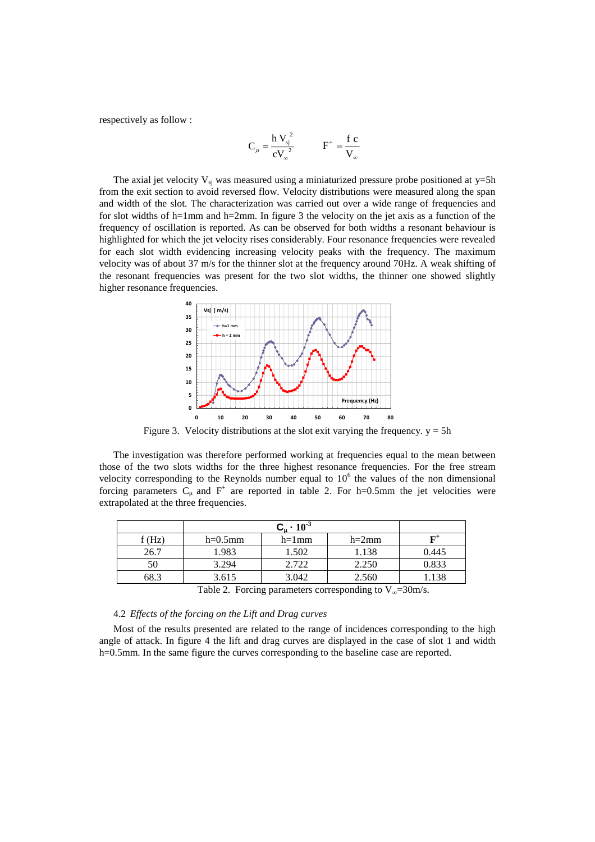respectively as follow :

$$
C_{\mu} = \frac{h V_{sj}^{2}}{c V_{\infty}^{2}} \qquad F^{+} = \frac{f c}{V_{\infty}}
$$

The axial jet velocity  $V_{si}$  was measured using a miniaturized pressure probe positioned at y=5h from the exit section to avoid reversed flow. Velocity distributions were measured along the span and width of the slot. The characterization was carried out over a wide range of frequencies and for slot widths of h=1mm and h=2mm. In figure 3 the velocity on the jet axis as a function of the frequency of oscillation is reported. As can be observed for both widths a resonant behaviour is highlighted for which the jet velocity rises considerably. Four resonance frequencies were revealed for each slot width evidencing increasing velocity peaks with the frequency. The maximum velocity was of about 37 m/s for the thinner slot at the frequency around 70Hz. A weak shifting of the resonant frequencies was present for the two slot widths, the thinner one showed slightly higher resonance frequencies.



Figure 3. Velocity distributions at the slot exit varying the frequency.  $y = 5h$ 

The investigation was therefore performed working at frequencies equal to the mean between those of the two slots widths for the three highest resonance frequencies. For the free stream velocity corresponding to the Reynolds number equal to  $10<sup>6</sup>$  the values of the non dimensional forcing parameters  $C_{\mu}$  and  $F^+$  are reported in table 2. For h=0.5mm the jet velocities were extrapolated at the three frequencies.

| f(Hz) | $h=0.5$ mm | $h=1$ mm | $h=2mm$ |       |
|-------|------------|----------|---------|-------|
| 26.7  | 1.983      | 1.502    | 1.138   | 0.445 |
| 50    | 3.294      | 2.722    | 2.250   | 0.833 |
| 68.3  | 3.615      | 3.042    | 2.560   | .138  |

Table 2. Forcing parameters corresponding to  $V_{\infty}=30 \text{m/s}$ .

## 4.2 *Effects of the forcing on the Lift and Drag curves*

Most of the results presented are related to the range of incidences corresponding to the high angle of attack. In figure 4 the lift and drag curves are displayed in the case of slot 1 and width h=0.5mm. In the same figure the curves corresponding to the baseline case are reported.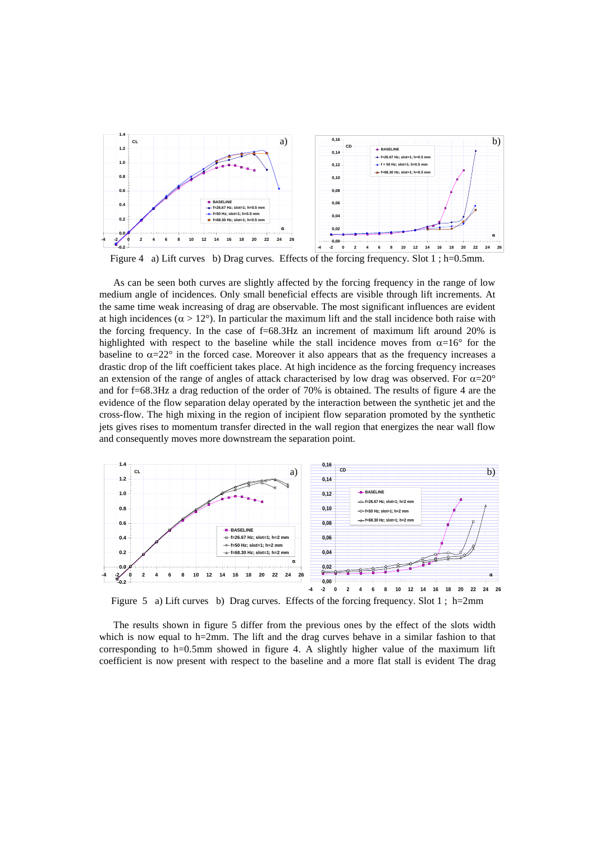

Figure 4 a) Lift curves b) Drag curves. Effects of the forcing frequency. Slot 1; h=0.5mm.

As can be seen both curves are slightly affected by the forcing frequency in the range of low medium angle of incidences. Only small beneficial effects are visible through lift increments. At the same time weak increasing of drag are observable. The most significant influences are evident at high incidences ( $\alpha > 12^{\circ}$ ). In particular the maximum lift and the stall incidence both raise with the forcing frequency. In the case of f=68.3Hz an increment of maximum lift around 20% is highlighted with respect to the baseline while the stall incidence moves from  $\alpha=16^{\circ}$  for the baseline to  $\alpha = 22^{\circ}$  in the forced case. Moreover it also appears that as the frequency increases a drastic drop of the lift coefficient takes place. At high incidence as the forcing frequency increases an extension of the range of angles of attack characterised by low drag was observed. For  $\alpha=20^{\circ}$ and for f=68.3Hz a drag reduction of the order of 70% is obtained. The results of figure 4 are the evidence of the flow separation delay operated by the interaction between the synthetic jet and the cross-flow. The high mixing in the region of incipient flow separation promoted by the synthetic jets gives rises to momentum transfer directed in the wall region that energizes the near wall flow and consequently moves more downstream the separation point.



Figure 5 a) Lift curves b) Drag curves. Effects of the forcing frequency. Slot 1; h=2mm

The results shown in figure 5 differ from the previous ones by the effect of the slots width which is now equal to h=2mm. The lift and the drag curves behave in a similar fashion to that corresponding to h=0.5mm showed in figure 4. A slightly higher value of the maximum lift coefficient is now present with respect to the baseline and a more flat stall is evident The drag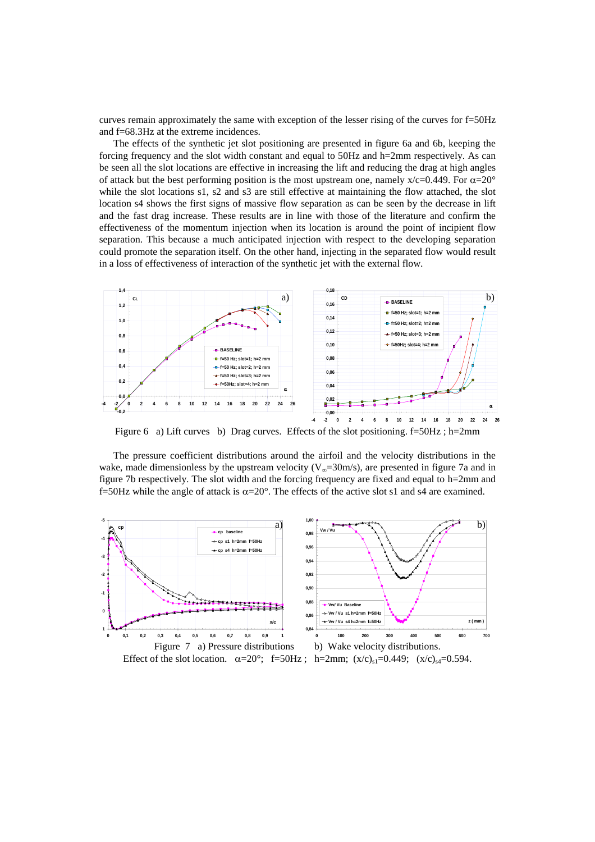curves remain approximately the same with exception of the lesser rising of the curves for f=50Hz and f=68.3Hz at the extreme incidences.

The effects of the synthetic jet slot positioning are presented in figure 6a and 6b, keeping the forcing frequency and the slot width constant and equal to 50Hz and h=2mm respectively. As can be seen all the slot locations are effective in increasing the lift and reducing the drag at high angles of attack but the best performing position is the most upstream one, namely  $x/c=0.449$ . For  $\alpha=20^\circ$ while the slot locations s1, s2 and s3 are still effective at maintaining the flow attached, the slot location s4 shows the first signs of massive flow separation as can be seen by the decrease in lift and the fast drag increase. These results are in line with those of the literature and confirm the effectiveness of the momentum injection when its location is around the point of incipient flow separation. This because a much anticipated injection with respect to the developing separation could promote the separation itself. On the other hand, injecting in the separated flow would result in a loss of effectiveness of interaction of the synthetic jet with the external flow.



Figure 6 a) Lift curves b) Drag curves. Effects of the slot positioning. f=50Hz ; h=2mm

The pressure coefficient distributions around the airfoil and the velocity distributions in the wake, made dimensionless by the upstream velocity ( $V_{\infty}$ =30m/s), are presented in figure 7a and in figure 7b respectively. The slot width and the forcing frequency are fixed and equal to h=2mm and f=50Hz while the angle of attack is  $\alpha=20^\circ$ . The effects of the active slot s1 and s4 are examined.

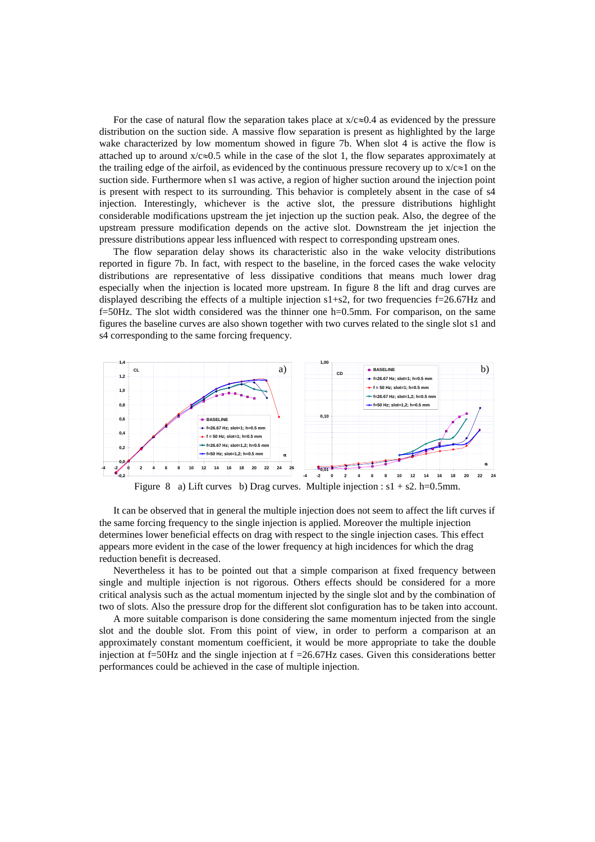For the case of natural flow the separation takes place at  $x/c \approx 0.4$  as evidenced by the pressure distribution on the suction side. A massive flow separation is present as highlighted by the large wake characterized by low momentum showed in figure 7b. When slot 4 is active the flow is attached up to around  $x/c \approx 0.5$  while in the case of the slot 1, the flow separates approximately at the trailing edge of the airfoil, as evidenced by the continuous pressure recovery up to  $x/c\approx1$  on the suction side. Furthermore when s1 was active, a region of higher suction around the injection point is present with respect to its surrounding. This behavior is completely absent in the case of s4 injection. Interestingly, whichever is the active slot, the pressure distributions highlight considerable modifications upstream the jet injection up the suction peak. Also, the degree of the upstream pressure modification depends on the active slot. Downstream the jet injection the pressure distributions appear less influenced with respect to corresponding upstream ones.

The flow separation delay shows its characteristic also in the wake velocity distributions reported in figure 7b. In fact, with respect to the baseline, in the forced cases the wake velocity distributions are representative of less dissipative conditions that means much lower drag especially when the injection is located more upstream. In figure 8 the lift and drag curves are displayed describing the effects of a multiple injection s1+s2, for two frequencies f=26.67Hz and f=50Hz. The slot width considered was the thinner one h=0.5mm. For comparison, on the same figures the baseline curves are also shown together with two curves related to the single slot s1 and s4 corresponding to the same forcing frequency.



It can be observed that in general the multiple injection does not seem to affect the lift curves if the same forcing frequency to the single injection is applied. Moreover the multiple injection determines lower beneficial effects on drag with respect to the single injection cases. This effect appears more evident in the case of the lower frequency at high incidences for which the drag reduction benefit is decreased.

Nevertheless it has to be pointed out that a simple comparison at fixed frequency between single and multiple injection is not rigorous. Others effects should be considered for a more critical analysis such as the actual momentum injected by the single slot and by the combination of two of slots. Also the pressure drop for the different slot configuration has to be taken into account.

A more suitable comparison is done considering the same momentum injected from the single slot and the double slot. From this point of view, in order to perform a comparison at an approximately constant momentum coefficient, it would be more appropriate to take the double injection at f=50Hz and the single injection at f =26.67Hz cases. Given this considerations better performances could be achieved in the case of multiple injection.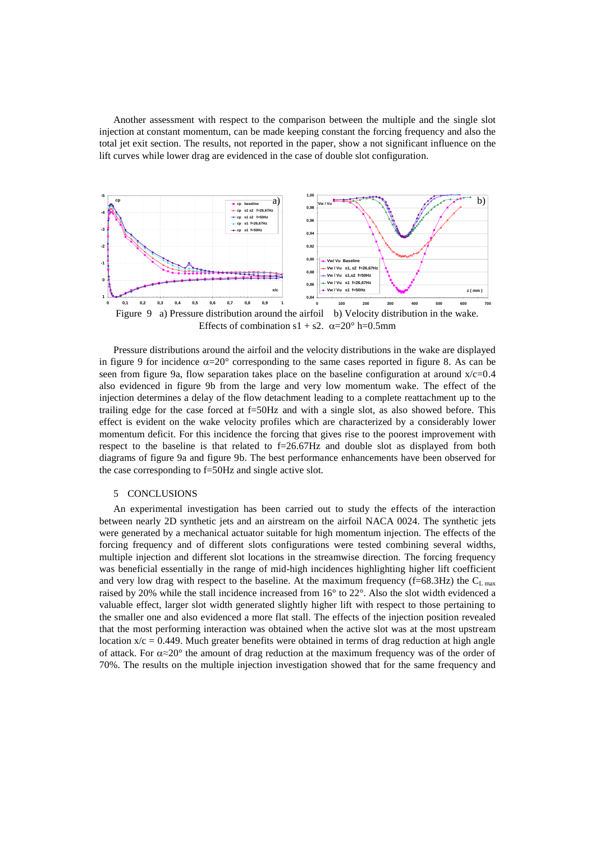Another assessment with respect to the comparison between the multiple and the single slot injection at constant momentum, can be made keeping constant the forcing frequency and also the total jet exit section. The results, not reported in the paper, show a not significant influence on the lift curves while lower drag are evidenced in the case of double slot configuration.



Pressure distributions around the airfoil and the velocity distributions in the wake are displayed in figure 9 for incidence  $\alpha=20^\circ$  corresponding to the same cases reported in figure 8. As can be seen from figure 9a, flow separation takes place on the baseline configuration at around  $x/c=0.4$ also evidenced in figure 9b from the large and very low momentum wake. The effect of the injection determines a delay of the flow detachment leading to a complete reattachment up to the trailing edge for the case forced at f=50Hz and with a single slot, as also showed before. This effect is evident on the wake velocity profiles which are characterized by a considerably lower momentum deficit. For this incidence the forcing that gives rise to the poorest improvement with respect to the baseline is that related to  $f=26.67\text{Hz}$  and double slot as displayed from both diagrams of figure 9a and figure 9b. The best performance enhancements have been observed for the case corresponding to f=50Hz and single active slot.

#### 5 CONCLUSIONS

An experimental investigation has been carried out to study the effects of the interaction between nearly 2D synthetic jets and an airstream on the airfoil NACA 0024. The synthetic jets were generated by a mechanical actuator suitable for high momentum injection. The effects of the forcing frequency and of different slots configurations were tested combining several widths, multiple injection and different slot locations in the streamwise direction. The forcing frequency was beneficial essentially in the range of mid-high incidences highlighting higher lift coefficient and very low drag with respect to the baseline. At the maximum frequency (f=68.3Hz) the  $C_{L \max}$ raised by 20% while the stall incidence increased from 16° to 22°. Also the slot width evidenced a valuable effect, larger slot width generated slightly higher lift with respect to those pertaining to the smaller one and also evidenced a more flat stall. The effects of the injection position revealed that the most performing interaction was obtained when the active slot was at the most upstream location  $x/c = 0.449$ . Much greater benefits were obtained in terms of drag reduction at high angle of attack. For  $\alpha \approx 20^{\circ}$  the amount of drag reduction at the maximum frequency was of the order of 70%. The results on the multiple injection investigation showed that for the same frequency and